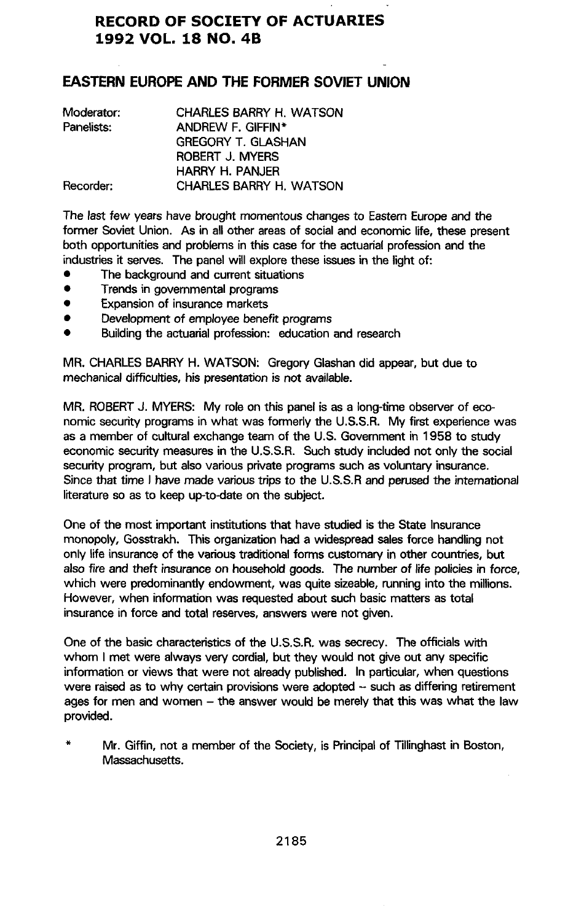# **RECORD OF SOCIETY OF ACTUARIES 1992 VOL. 18 NO. 4B**

# **EASTER**N **EUROPE A**N**D THE FORMER SOVIET UNIO**N

| Moderator: | CHARLES BARRY H. WATSON   |
|------------|---------------------------|
| Panelists: | ANDREW F. GIFFIN*         |
|            | <b>GREGORY T. GLASHAN</b> |
|            | ROBERT J. MYERS           |
|            | <b>HARRY H. PANJER</b>    |
| Recorder:  | CHARLES BARRY H. WATSON   |

The l**a**st few ye**a**rs h**av**e bro**ug**ht momento**us** ch**a**n**g**es t**o** Eastern E**u**rope **and** the former Soviet Union. As in all other area**s** of social and economic life, these present both opportunities and problems in this case for the actuarial profession and the industries it serv**e**s. The p**a**nel will explore these issues in the light of:

- **•** Th**e b**ack**g**r**o**und **a**nd cu**rr**ent **s**itu**atio**ns
- T**r**e**nds** in **go**v**ern**me**nta**l pro**g**r**a**m**s**
- **E**x**pansio**n**o**f **i**n**su**r**an**c**e** m**a**rk**e**t**s**
- De**v**el**o**pme**n**t of em**p**loy**e**e benefit **p**rogr**a**ms
- Buil**dingthe actuarial**pr**o**f**essio**n: e**ducatio**n**a**n**d** rese**ar**c**h**

**MR. CH**A**R**L**ES BARRY H. WATSON: Greg**o**ry Glashandid appear,but due to mechanicaldifficulti**e**s**,**his pr**ese**ntationis not availabl**e**.**

**MR. ROBER**T**J. M**Y**ERS: M**y **role o**n **this pan**e**lis as a long-ti**m**eobserv**e**rof economic** security programs in what was formerly the U.S.S.R. My first experience was **as a member of culturalexchang**e**t**e**am o**f **the U**.**S. Gove**rn**ment in 1958 to** st**ud**y **economic s**ec**urity**m**easuresin the U**.**S.S.R. Such** st**udy includednot only the social security program, b**ut **alsovar**i**ousprivat**e **programssuch as volunta**ry **insuranc**e. **Since** th**at tim**e **I hav**e m**ad**e **varioust**ri**ps to th**e **U.S.S.R and p**e**rus**e**dthe int**e**rnational l**it**er**at**ure so as to keep up**-**to-date on the subject.**

**One of the** m**o**st **i**m**po**rt**ant institutionsth**at **have** st**udi**ed **is the St**at**e Insurance** m**onopoly**, **Gosstrakh. This organiza**ti**on**h**ad a widespre**ad **salesforce handlingnot**  $\alpha$  only life insurance of the various traditional forms customary in other countries, but **also fire and th**eft **in**s**ur**a**nceon househo**l**dgood**s**. Th**e **nu**mbe**r o**f l**ife** po**lici**e**s**i**n forc**e, **which w**e**re pr**ed**o**m**inantlyendowment**, **was qu**it**e sizeable,runninginto the millions. However, when info**rm**ationwas re**q**uest**ed **abo**ut **such basic** m**at**te**rs as total**  $i$ nsurance in force and total reserves, answers were not given.

**O**n**e of th**e **basiccharacter**ist**icsof the U**.**S**.**S.R**. **was secr**ec**y.** Th**e officialsw**it**h whom I** m**et w**e**re alwa**y**s v**ery **cordial,b**ut **they would not giv**e **o**ut **an**y **s**p**ecific** in**form**at**ion or views that w**e**re not alread**y **publish**ed**. In par**t**icular,when questions were raised as to wh**y **certain provisionsw**e**re** ad**opt**e**d** - **such as diff**e**ringretire**m**e**n**t ages for men and women - the answer would** be m**erely** th**at this was wh**at **the law provid**ed**.**

\* **Mr. Gi**ffi**n, not a** m**e**mbe**r of the** So**ciety, is Princi**p**alof Tilli**n**gha**st **in Bo**st**on, Massachu**se**tts**.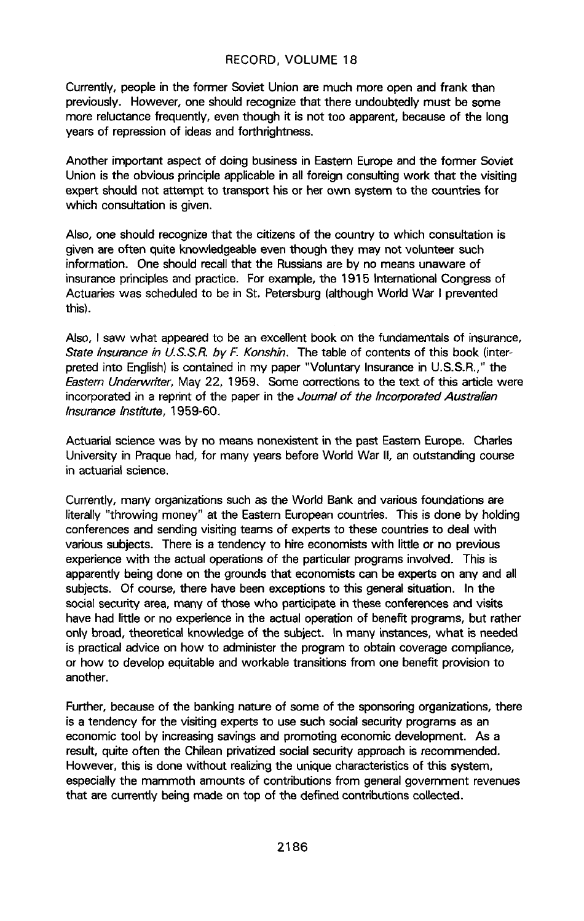Currently, people in the former Soviet Union are much more open and frank than previously. However, one should recognize that there undoubtedly must be some more reluctance frequently, even though it is not too apparent, because of the long years of repression of ideas and forthrightness.

Another important aspect of doing business in Eastern Europe and the former Soviet Union is the obvious principle applicable in all foreign consulting work that the visiting expert should not attempt to transpor**t** his or her own system to the countries for which consultation is given.

Also, one should recognize that the citizens of the country to which consultation is given are often quite knowledgeable even though they may not volunteer such information. One should recall that the Russians are by no means unaware of insurance principles and practice. For example, the 1915 Internationa**l** Congress of Actuaries was scheduled to be in St. Petersburg (although World War I prevented this).

Also, I saw what appeared to be an excellent book on the fundamentals of insurance, State Insurance in U.S.S.R. by F. Konshin. The table of contents of this book (interpreted into English) is contained in my paper "Voluntary Insurance in U.S.S.R.," the Eastern Underwriter, May 22, 1959. Some corrections to the text of this article were incorporated in a reprint of the paper in the Journal of the Incorporated Australian Insurance Institute, 1959-60**.**

Actuaria**l** science was by no means nonexistent in the past Eastern Europe. Charles University in Praque had, for many years before World War II, an outstanding course in actuarial science.

Currently, many organizations such as the World Bank and various foundations are literally "throwing money" at the Eastern European countries. This is done by holding conferences and sending visiting teams of experts to these countries to deal with various subjects. There is a tendency to hire economists with little or no previous experience with the actua**l** operations of the particu**l**ar programs involved**.** This is apparently being done on the grounds that economists can be experts on any and all subjects. Of course, there have been exceptions to this general situation. In the social security area, many of those who participate in these conferences and visits have had little or no experience in the actual operation of benefit programs, but rather only broad, theoretical knowledge of the subject. **I**n many instances, what is needed is practical advice on how to administer the program to obtain coverage compliance, or how to develop equitable and workab**l**e transitions from one benefit provision to another.

Further, because of the banking nature of some of the sponsoring organizations, there is a tendency for the visiting experts to use such social security programs as an economic tool by increasing savings and promoting economic development. As a result, quite often the Chilean privatized social security approach is recommended. However, this is done without realizing the unique characteristics of this system, especially the mammoth amounts of contributions from general government revenues that are currently being made on top of the defined contributions collected.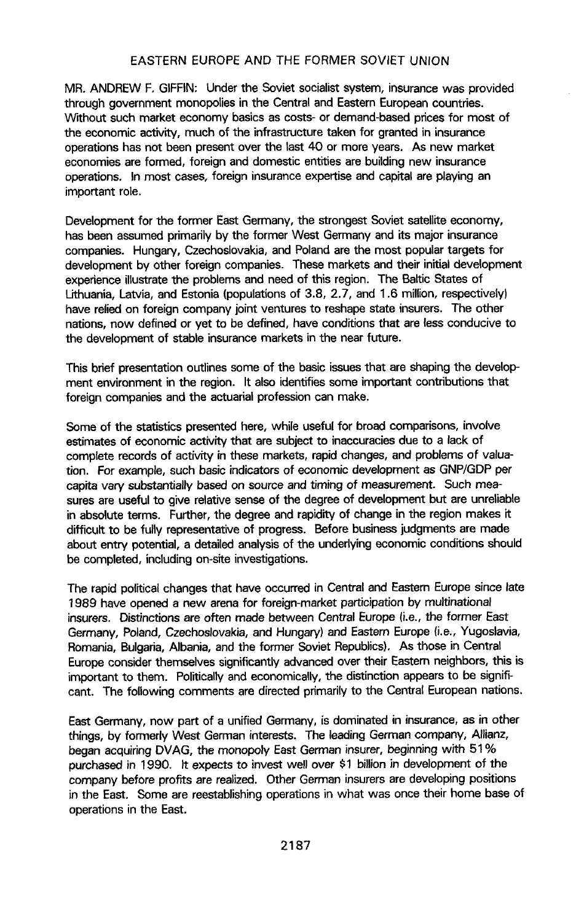MR. ANDREW F. GIFFIN: Under the Soviet socialist system, insurance was provided through government monopolies in the Central and Eastern European countries. Without such market economy basics as costs- or demand-based prices for most of the economic activity, much of the infrastructure taken for granted in insurance operations has not been present over the last 40 or more years. As new market economies are formed, foreign and domestic entities are building new insurance operations. In most cases, foreign insurance expertise and capital are playing an important role.

Development for the former East Germany, the strongest Soviet satellite economy, has been assumed primarily by the former West Germany and its major insurance companies. Hungary, Czechoslovakia, and Poland are the most popular targets for development by other foreign companies. These markets and their initial development experience illustrate the problems and need of this region. The Baltic States of Lithuania, **L**atvia, and Estonia (popu**l**ations of 3**.8**, 2**.**7, and 1.6 million, respectively) have relied on foreign company joint ventures to reshape state insurers. The other nations, now defined or yet to be defined, have conditions that are **l**ess conducive to the development of stable insurance markets in the near future.

This brief presentation outlines some of the basic issues that are shaping the development environment in the region. It also identifies some important contributions that foreign companies and the actuarial profession can make.

Some of the statistics presented here, while useful for broad comparisons, involve estimates of economic activity that are subject to inaccuracies due to a lack of comp**l**ete records of activity in these markets, rapid changes, and problems of valuation. For example, such basic indicators of economic development as GNP/GDP per capita vary substantially based on source and timing of measurement. Such measures are useful to give relative sense of the degree of development but are unreliable in absolute terms. Further, the degree and rapidity of change in the region makes it difficult to be fully representative of progress. Before business judgments are made about entry potential, a detailed analysis of the underlying economic conditions should be comp**l**eted, including on-site investigations.

The rapid political changes that have occurred in Central and Eastern Europe since late 1989 have opened a new arena for foreign-market participation by multinationa**l** insurers. Distinctions are often made between Central Europe (i.e., the former East Germany, Poland, Czechoslovakia, and Hungary) and Eastern Europe (i.e., Yugoslavia, Romania, Bulgaria, A**l**bania, and the former Soviet Republics). As those in Central Europe consider themselves significantly advanced over their Eastern neighbors, this is important to them. Politically and economically, the distinction appears to be significant. The following comments are directed primarily to the Central European nations.

East Germany, now part of a unified Germany, is dominated in insurance, as in other things, by formerly West German interests. The leading German company, Allianz, began acquiring DVAG, the monopoly East German insurer, beginning with 51% purchased in 1990. it expects to invest wel**l** over \$1 billion in deve**l**opment of the company before profits are rea**l**ized**.** Other German insurers are developing positions in the East. Some are reestablishing operations in what was once their home base of operations in the East.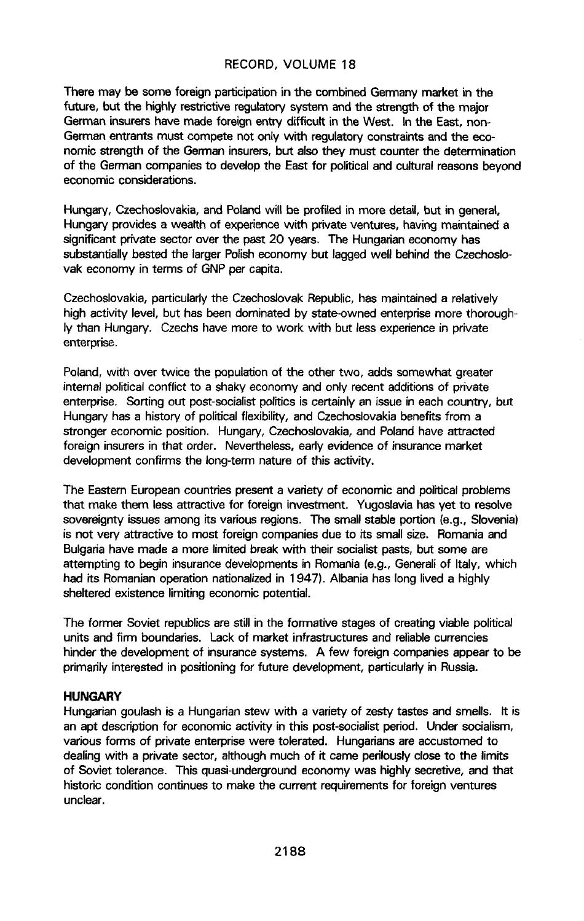**The**r**e** m**ay be so**m**e fore**i**gn parti**ci**patio**ni**n th**e **co**mb**ined**G**ermany** m**ark**e**t** i**n the future**, b**ut t**h**e** hi**g**hly **restr**i**c**t**iveregulatorys**y**st**e**m and the st**r**eng**t**h of t**h**e major Ge**rm**an insurershav**e m**ade foreign**e**ntry difficult**i**n the West. Inthe Ea**st, **non-German entrants mu**st **compete not on**l**y with regulatorycon**st**raintsand the economic** st**rength o**f **the G**erm**an insurers**,**but alsothey mu**st **count**e**rthe determination of the Ge**rm**an companiesto developthe East for politicaland culturalreasons beyond econom**i**c co**n**s**i**deratio**n**s**.

**Hu**n**gary**, C**z**ec**hos**l**ovak**i**a,a**n**d** P**olandwi**ll **b**e **prof**il**ed**in m**ore deta**i**l,** but **in ge**n**era**l**, Hungaryprovi**de**s a wea**lt**h of experiencew**it**h privateventures**, **havi**n**g** m**ai**n**tain**ed **a significant private sector over the past 20 years. The Hungarian economy has** substantially bested the larger Polish economy but lagged well behind the Czechoslo**vak econo**m**y in terms of GNP p**e**r capita.**

C**z**e**choslovakia**,**particularlythe** C**z**ec**hos**J**ovakRepublic,has maintain**ed**a r**e**latively high act**i**vity l**e**v**e**l, b**ut **has b**ee**n dominated by state**-**owned** e**nt**e**rpris**e**mo**r**e thoroug**hl**y than Hu**n**gary.** C**zechshave mor**e **to wor**k **w**it**h but** l**ess** e**xperien**c**ei**n **priva**t**e e**n**terpris**e**.**

**Po**lan**d**, **with over** t**wice** th**e populationof th**e **oth**e**r** t**wo**, **ad**d**s so**m**ewha**t **gr**e**ater inte**rn**al po**l**itica**l**conflic**t**to a shak**y e**cono**my **and onl**y r**ecent ad**d**itionso**f **p**r**iva**te **e**n**terprise. Sortingout po**st**-socia**l**i**st**p**olit**ics is** c**ertainlyan** iss**ue in each countr**y**, but Hunga**ry **has a historyof po**l**itical**fl**exibility,and** C**zechoslovakiab**e**n**e**f**it**s** f**rom a** st**ronger economic**po**sition. Hungar**y**,** C**z**e**choslovakia,and Polandhav**e **attract**ed **for**e**ign insur**e**rsi**n **that ord**e**r. Neve**rt**h**e**less,earl**y e**videnc**e**o**f **insurancemark**e**t developm**e**nt confirms th**e **lo**n**g-t**e**rm nature of this act**iv**ity.**

**Th**e **Ea**st**e**rn **Europeancountriespresenta vari**ety **of economicand politicalprob**l**e**m**s** th**at** m**a**ke **t**h**e**m less **a**t**tra**c**t**ive f**o**r f**oreigni**n**ves**tmen**t.** Y**u**g**os**la**via** h**as** y**e**t **to reso**l**v**e **sover**e**ign**ty **i**ss**uesamong** it**s va**ri**ous r**e**g**i**ons. The small** st**ab**l**e po**rt**ion (e**.**g**., **Slovenia) is not ve**ry **attractive to** m**o**st f**oreign co**m**p**a**niesdue to** it**s smallsize. Romania and Bulgariahav**e **made a more limit**ed**break with their sociali**st**pa**st**s, b**ut **some are atte**m**pting to begininsurancedeve**l**opmentsin Romania (e.g.**, **Generaliof Italy, which had** its Romanian operation nationalized in 1947). Albania has long lived a highly  $s$ heltered existence limiting economic potential.

**Th**e **former Soviet r**e**publicsa**re st**illin the format**iv**e** st**ag**es **of creatingviabl**e **pol**it**ical units and** firm **boundaries. Lack of market in**f**ra**st**ructuresand reliablecurrencies hinderthe dev**e**lopm**e**nt of insurancesy**stem**s. A few** f**oreign companiesapp**e**ar to be pri**m**arilyinterestedin pos**it**ioning**f**o**r **f**ut**ure dev**e**lopm**e**nt**, **particularlyin Russia.**

### **HU**N**GARY**

Hungarian goulash is a Hungarian stew with a variety of zesty tastes and smells. It is  $a$ n apt description for economic activity in this post-socialist period. Under socialism, **va**r**ious fo**rm**s o**f **privat**e**ent**erp**risewer**e **tolerat**ed**. Hunga**ri**ansar**e **accusto**me**d to dealingwith a priv**at**e s**e**ctor**, **althoughmuch of** it **came perilouslycloseto th**e **li**m**i**ts **o**f **Soviet toleranc**e**. This quasi-undergroundeconom**y **was highlysecret**iv**e, and that histo**ri**c cond**it**i**o**n continu**e**sto mak**e **the currentre**q**uire**m**ents**f**or** f**or**e**ign ve**n**tures u**n**clea**r.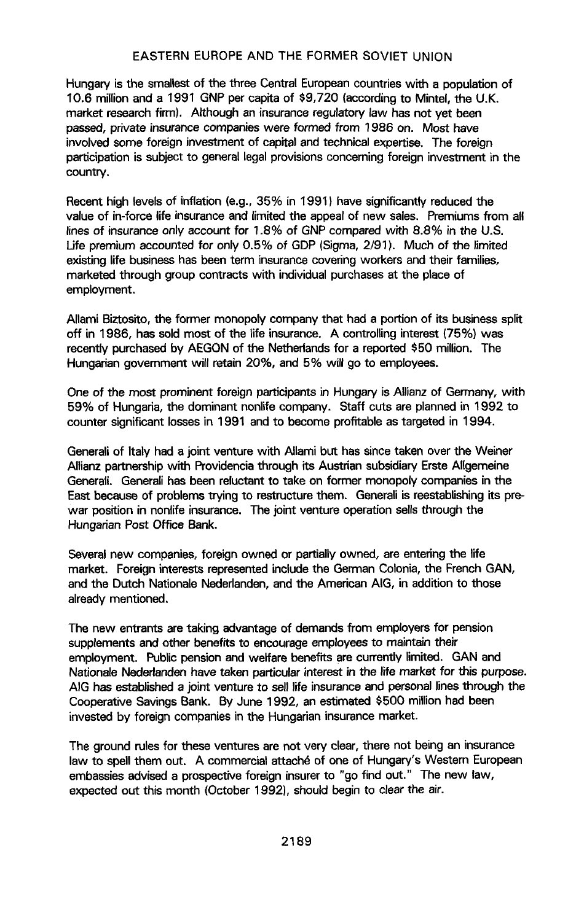Hungary is the sma**l**le**s**t of the three Central European countries with a population of 10.6 million and a 1991 GNP per capita of \$9,720 (according to Mintel, the U.K. m**a**rk**e**t re**s**e**a**rch firm). Alth**ough an i**n**sura**ncere**g**ulat**o**ry l**aw** h**as** n**o**t yet bee**n** pas**s**ed, pr**i**vate insurance compan**ie**s were formed from 198**6** on. Mo**s**t have invo**l**ved some foreign investment of c**a**pita**l** and technical expertise. The foreign participation is subject to gener**a**l legal provisions concerning foreign i**n**vestment in the country.

Rec**e**nt high levels of inflation (e.g., 35% in 1991) have sig**n**ificantly reduced the value of **i**n-f**o**rce lif**e** insurance and limited the appeal of new sales. Premiums from all lines of insurance only account for 1.**8**% of GNP compared with 8.8% **i**n the U.S. L**i**fe premium accounted for only 0.5% of GDP (Sigma, 2/91). Much of the limited ex**i**sting life business has been term insurance covering workers and their families, marketed through group contracts with individual purchases at the p**la**ce of employment.

Allami Biztosito, the former monopo**l**y company that had a portion of its business split off in 19**8**6, has sold most of the life insurance. A control**l**i**n**g interest (75%) was recently purchased by AEGON of the N**e**t**h**er**l**ands for a reported \$50 million**.** The Hungarian government will retain 20%, and 5% **w**ill **go** to employee**s**.

One of the most promin**e**nt foreig**n** participants **i**n Hungary is Al**li**anz of Ger**m**any, with 59% of Hungaria, the dominant nonlife company. Staff cuts are planned in 1992 to counter signific**a**nt losses in 1991 and to become profitab**l**e as targeted in 1994.

Gen**e**rali of It**a**ly had a joint venture with All**a**mi but h**a**s since tak**e**n over the Weiner Allianz partnership with Providencia through its Austrian subsidiary Erste Allgemeine **Gen**e**ra**li**. Gen**e**ralihas been reluctantto take on fo**rm**er** m**onopol**y**co**m**panies in the** East because of problems trying to restructure them. Generali is reestablishing its prewar position in nonlife insurance. The joint venture operation sells through the **Hungarian Post Office Bank.** 

**Several new companies, foreign owned or partially owned, are entering the life mark**e**t. For**e**igni**n**t**e**restsrepr**e**sented**i**ncludeth**e **German** C**olonia,the French G**A**N, and the Dutch Nati**o**nale Nederlanden**,**and the Ame**ri**can AIG, in add**it**ionto those a**l**re**ady men**tion**ed.

The new entrants are taking advantage of d**e**mands from employers for pension supplements and **o**ther benefit**s** to encourage employees to maintain their employment. Public pen**s**ion and w**e**ffar**e** benefits are cu**r**rently limited. GAN and **N**atio**na**ie **N**ederl**and**en h**av**e **ta**ken **pa**rtic**ula**r **i**nterest **in th**e l**if**e m**a**rket for th**is** p**u**rpose**.** A**I**G has established a joint venture to sel**l l**ife i**n**surance **a**nd personal **l**ines through the Cooperative Savings Bank. By June 1992, an estimated \$500 million had been invested by foreign companies in the Hungarian insurance market.

The ground rules for these ventures are not very clear, there not being **a**n insurance law to spell them out. A commercia**l** attach\_ of one of Hungary'**s** Western European embassies advised a prospective fore**i**gn insurer to "go find out." Th**e** new law, expected out this month (October 1992), shou**l**d begin to clear the a**i**r.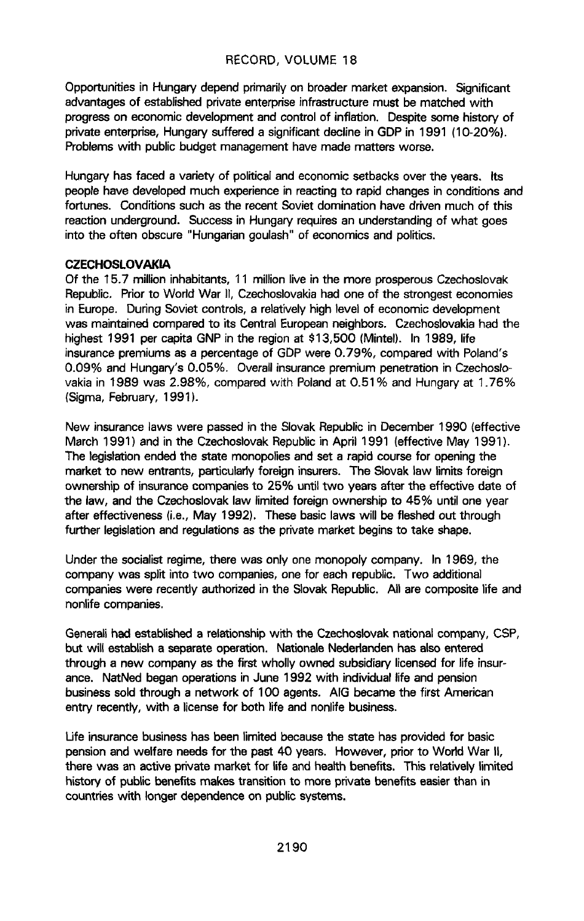Opportunities in Hungary depend primarily on broader market expansion. Significant advantages of established private enterprise infrastructure must be matched with progress on economic development and control of inflation. Despite some history of private enterprise, Hungary suffered a significant decline in GDP in 1991 (10-20%). Problems with public budget management have made matters worse.

Hungary has faced a variety of political and economic setbacks over the years. Its people have developed much experience in reacting to rapid changes in conditions and fortunes. Conditions such as the recent Soviet domination have driven much of this reaction underground. Success in Hungary requires an understanding of what goes into the often obscure "Hungarian goulash" of economics and politics.

### **CZECHOSLOVAKIA**

Of the 15.7 million inhabitants, 11 million live in the more prosperous Czechoslovak Republic. Prior to World War II, Czechoslovakia had one of the strongest economies in Europe. During Soviet controls, a relatively high level of economic development was maintained compared to its Central European neighbors. Czechoslovakia had the highest 1991 per capita GNP in the region at \$13,500 (Mintel). In 1989, life insurance premiums as a percentage of GDP were 0.79%, compared with Poland's 0.09% and Hungary's 0.05%. Overall insurance premium penetration in Czechoslovakia in 1989 was 2.98%, compared with Poland at 0.51% and Hungary at 1.76% (Sigma, February, 1991).

New insurance laws were passed in the Slovak Republic in December 1990 (effective March 1991) and in the Czechoslovak Republic in April 1991 (effective May 1991). The legislation ended the state monopolies and set a rapid course for opening the market to new entrants, particularly foreign insurers. The Slovak law limits foreign ownership of insurance companies to 25% until two years after the effective date of the law, and the Czechoslovak law limited foreign ownership to 45% until one year after effectiveness (i.e., May 1992). These basic laws will be fleshed out through further legislation and regulations as the private market begins to take shape.

Under the socialist regime, there was only one monopoly company. In 1969, the company was split into two companies, one for each republic. Two additional companies were recently authorized in the Slovak Republic. All are composite life and nonlife companies.

Generali had established a relationship with the Czechoslovak national company, CSP, but will establish a separate operation. Nationale Nederlanden has also entered through a new company as the first wholly owned subsidiary licensed for life insurance. NatNed began operations in June 1992 with individual life and pension business sold through a network of 100 agents. AIG became the first American entry recently, with a license for both life and nonlife business.

Life insurance business has been limited because the state has provided for basic pension and welfare needs for the past 40 years. However, prior to World War II, there was an active private market for life and health benefits. This relatively limited history of public benefits makes transition to more private benefits easier than in countries with longer dependence on public systems.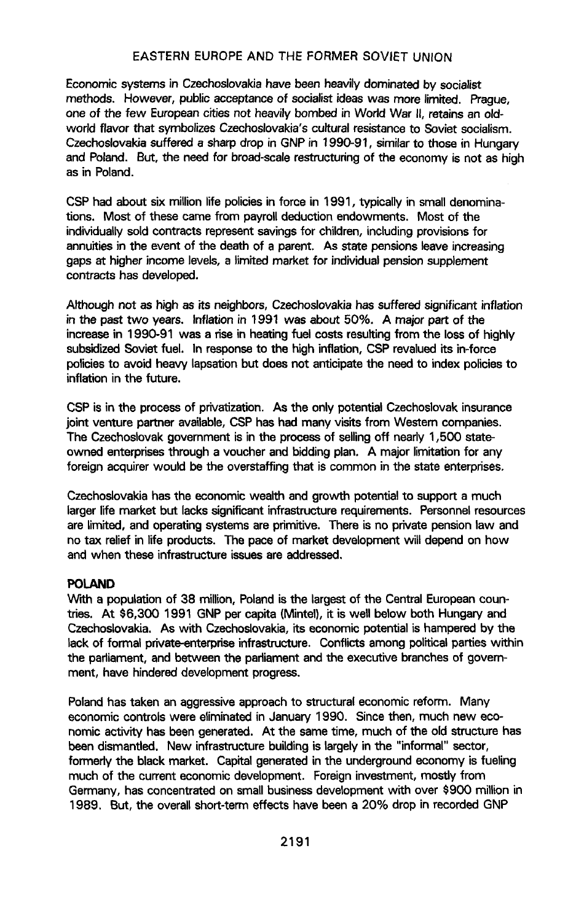Economic systems in Czechoslovakia have been heavily dominated by socialist me**t**h**ods**. **H**owe**v**er, **pub**l**icac**ce**p**t**an**c**e o**f **s**oc**ia**l**istid**e**as was** m**ore** l**i**m**ited. Prague**, one of the few European cities not heavily bombed in World War II, retains an old**wo**d**d** fl**avor that s**y**mbo**l**izesCz**e**cho**sl**ova**k**ia'**s**cu**l**turalr**e**si**st**ance**t**o Sovie**t so**cialis**m**. Cz**ec**hoslovakiasuffer**ed **a** s**harp drop in GNP in** 1**99**0-**9**1**,** s**imi**l**arto those in Hungary an**d **Po**l**and. But**, **the n**eed f**or broad-sca**le**r**e**st**r**ucturingof the econo**m**y is not as high as in Po**l**and**.

C**SP had abo**ut **six mi**l**lionlif**e **policiesin force** i**n 1991**, **typicallyin small denominations. Most of thes**e **came fro**m **payrolldeductionendowments. Mo**st **of** th**e individually sold** contracts represent savings for children, including provisions for **annuiti**es **in the ev**e**nt of the death of a pare**n**t. As** st**at**e **pensionsleav**e**increasing gaps** at **higheri**n**c**o**m**e **l**e**v**e**ls,a l**im**it**ed **market for individualpen**si**on supp**le**m**e**nt contracts has d**e**v**e**loped.**

A**lthough not as high as it**s **neighbor**s**,Cz**ec**hoslovakiahas** s**uffer**ed **signi**f**icantin**fl**ation in th**e **pas**t **two y**e**ars. Infl**at**ion in** 1**99**1 **was a**bout **50%. A** m**ajor part of th**e **incr**e**as**e**in 1990-91 was a risein he**at**ingfuel costsresult**i**ngfro**m **the lossof highly subs**id**iz**edSo**vi**e**t fuel. In respon**se**to the highinflation,CSP r**e**valued**it**s in-force policiesto avoidheavy lapsationbut do**es **not a**n**ticipatethe ne**e**d to index polici**e**sto** i**nflationin th**e **future.**

C**SP is i**n **th**e **processof privatiz**at**ion. As** the **only potentialCzechoslovakinsurance joint venture partner available,CS**P **hashad many vis**it**s from W**e**stern companies. The Czechoslovakgove**rnm**ent is in**the **proce**ss **of** se**llingoff h**e**ady 1**,**500 stateown**ed **enterprisesthrough a voucher and b**id**d**i**ng pla**n. **A majorli**mit**ationfor any** f**oreign acquirerwould be the overstaffingth**at **is common in** the **state ent**e**rprises**.

C**z**ec**hoslovakiahas th**e **econo**m**icw**e**alth and growth po**te**ntialto suppo**rt **a much** l**argerlife mark**e**t but lacks**si**gnificantinfrastructurerequire**m**ents. Personnelresources are lim**ited**, and op**e**ratingsyste**m**s are primitive.** T**here is no pr**i**v**at**e pens**i**onlaw and no tax reliefin lif**e **products. The pac**e **of** m**ark**e**t developmentw**il**l d**e**p**e**nd on how a**n**d w**h**en these** in**f**ra**structure** iss**u**es **are** ad**dr**e**ssed**.

### **PO**L**A**N**D**

k\_r\_**ha** po**pulationof 38 million,Polandis** th**e largestof the Central European**c**ount**rie**s. At** \$**6**,**300 1991 GNP per cap**it**a (Mintel), it is w**e**ll below both Hungary and** C**zechos**l**ova**ki**a. As with Cz**ec**hoslovakia,**it**s economicpotential**i**s** h**ampered**b**y th**e lack of formal private-enterprise infrastructure. Conflicts among political parties within **the parl**i**a**m**ent, and between th**e **parliamentand** th**e** e**xec**ut**iv**e **branchesof gov**ern $m$ ent, have hindered development progress.

**Polandhas taken an aggre**ss**iveapproachto** st**ructura**l **economicr**e**form. Man**y **economiccontrols were eli**m**inat**ed **in Janua**ry **1990. Sinc**e**then, much new economic act**iv**i**ty **has b**e**en gen**e**rat**ed**. At the same tim**e, **much of th**e **old** st**ructure has be**e**n dis**m**antled. New infrastructurebu**i**ldingis** l**argel**y **in** th**e** "**informal**" **sector, fo**rm**ed**y **the black market. Capital generated**i**n the underground**ec**onomy is fueling much of th**e c**urr**e**nt** e**conomicd**e**velopment. Foreigninv**e**st**m**ent, mostl**y **fro**m **German**y**, has concentr**ated **on smallbusi**n**e**ss **deve**l**op**m**ent w**it**h over** \$**900 millionin 19**8**9**. **But, the overall sho**rt**-termeffects have bee**n **a 20**% **drop in r**ec**ordedGN**P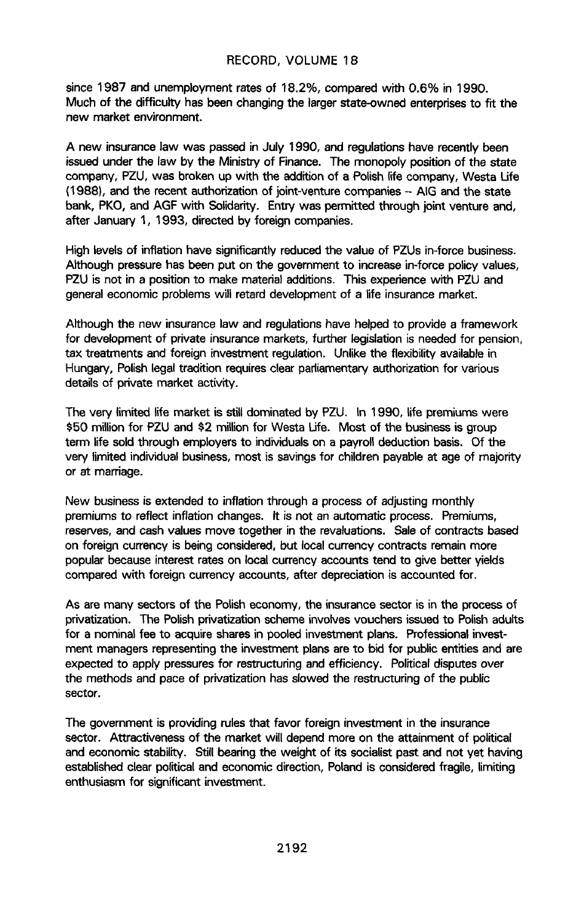since 1987 and unemployment rates of 18.2%, compared with 0.6% in 1990. M**u**c**h of th**e **diff**i**cu**lty **has** been **c**h**angingt**h**e** l**a**r**ge**r **s**tate-ow**n**ed en**te**rprise**s t**o **f**it **th**e new market environment.

A new insurance law was passed in July 1990, and regulations have r**e**cently been issued under the law by the Ministry of Finance. The monopoly po**s**ition of the st**a**te comp**a**ny, PZU, was broken up with the addit**i**on of **a** Po**l**ish lif**e** company, W**e**sta Life (1988), and the recent authorization of jo**i**nt-v**e**nture co**m**pa**n**ies - A**I**G **a**nd the state b**a**nk, PKO, and AGF with Solidarit**y**. Ent**ry** w**a**s p**e**rmitted through joint venture and, after Januar**y** 1, 1993, directed by foreign companies.

High leve**l**s of in**fla**tion have significant**ly** reduced the value of **P**ZUs in-force business. A**l**though pressure has been p**u**t on the governm**e**nt to increase in-force po**l**icy va**l**ues, PZU is not in a position to make materia**l** additions. This experience with PZU and general economic problems will retard deve**l**opment of a life insurance market.

Although the new insurance law and regulations have help**e**d to provide a framework for deve**l**opment of private insurance marke**t**s**,** further legis**l**ation **i**s needed for pension**,** tax t**r**eatments and f**o**r**ei**gn investment regulat**i**on. Unlike the flexibility available in Hung**a**ry, Polish leg**a**l tradit**i**on requ**i**res clear pa**rl**iament**a**ry **a**uthorization for vari**o**us details **o**f priv**a**te m**a**rk**e**t activit**y**.

The v**e**ry limited lif**e** market is stil**l** dominated by PZU. In 1990, lif**e** premiums were \$50 mi**l**lion for PZU and \$2 mi**ll**ion for Westa Life**.** Most of the bu**s**iness i**s** g**r**oup term life sold throu**g**h employ**ers** to individua**l**s on a pa**y**roll deduction ba**s**is. Of the very limit**e**d individual business, most is savings for children p**a**yab**l**e at age of majority or at marriage.

New bus**i**ness is extended to inflation **t**hrough a process of adjusting monthly premiums to reflect inflat**i**on change**s**. It is not an automatic process. Premiums, reserves, and ca**s**h va**l**ues move **t**o**g**ether in the revaiu**a**tions. S**a**le of contracts based on forei**g**n curr**e**ncy is being con**si**dered, but local currency contracts rema**i**n more popular because **i**nterest rates on local cu**r**rency accounts tend to **gi**ve bett**e**r y**i**elds compared with foreign currency account**s**, **a**fter depreciation **i**s accoun**t**ed for.

As are many sectors of the Polish economy, the **i**nsurance sector is in the process of privatization. The Polish priv**a**tization schem**e** involves vouchers **i**ssued to Polish adults for a nominal fee to **a**cquire shares in pooled **i**nvestment p**l**ans**.** Prof**e**ssiona**l** investm**e**nt managers r**e**pres**en**ting th**e** inves**t**m**e**nt p**l**a**n**s ar**e** to bid for public **en**tities and are expected to apply pressures for restructuring and efficiency. Political disputes over the methods and pace of privatization has slowed the restructuring of the public sector,

The government is prov**i**ding rule**s** that favor foreign **i**nvestment **i**n the in**s**urance sector. Attr**a**ctiveness of the market will d**e**pend more on the atta**i**nment of political and ec**o**nomic stability. St**i**ll be**a**ring the weight of its socialist pa**s**t and not yet hav**i**ng established cl**e**ar political and **e**conomic direction, Poland is consid**e**red fragile, l**i**miting enthusiasm for si**g**nific**a**nt **i**nvestment.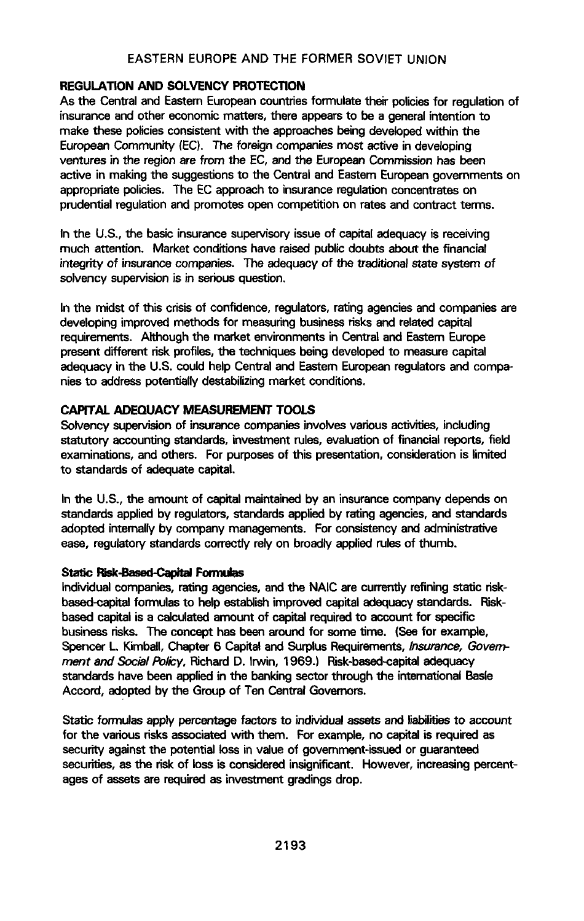# **REGULATION AND SOLVENCY PROTECTION**

As the Central and Eastern European countries formulate their policies for requlation of insurance and other economic matters, there appears to be a general intention to make these policies consistent with the approaches being developed within the European Community (EC). The foreign companies most active in developing ventures in the region are from the EC, and the European Commission has been active in making the suggestions to the Central and Eastern European governments on appropriate policies. The EC approach to insurance regulation concentrates on prudential regulation and promotes open competition on rates and contract terms.

In the U.S., the basic insurance supervisory issue of capital adequacy is receiving much attention. Market conditions have raised public doubts about the financial integrity of insurance companies. The adequacy of the traditional state system of solvency supervision is in serious question.

In the midst of this crisis of confidence, regulators, rating agencies and companies are developing improved methods for measuring business risks and related capital requirements. Although the market environments in Central and Eastern Europe present different risk profiles, the techniques being developed to measure capital adequacy in the U.S. could help Central and Eastern European regulators and companies to address potentially destabilizing market conditions.

### CAPITAL ADEQUACY MEASUREMENT TOOLS

Solvency supervision of insurance companies involves various activities, including statutory accounting standards, investment rules, evaluation of financial reports, field examinations, and others. For purposes of this presentation, consideration is limited to standards of adequate capital.

In the U.S., the amount of capital maintained by an insurance company depends on standards applied by regulators, standards applied by rating agencies, and standards adopted internally by company managements. For consistency and administrative ease, regulatory standards correctly rely on broadly applied rules of thumb.

### **Static Risk-Based-Capital Formulas**

Individual companies, rating agencies, and the NAIC are currently refining static riskbased-capital formulas to help establish improved capital adequacy standards. Riskbased capital is a calculated amount of capital required to account for specific business risks. The concept has been around for some time. (See for example, Spencer L. Kimball, Chapter 6 Capital and Surplus Requirements, Insurance, Government and Social Policy, Richard D. Irwin, 1969.) Risk-based-capital adequacy standards have been applied in the banking sector through the international Basle Accord, adopted by the Group of Ten Central Governors.

Static formulas apply percentage factors to individual assets and liabilities to account for the various risks associated with them. For example, no capital is required as security against the potential loss in value of government-issued or guaranteed securities, as the risk of loss is considered insignificant. However, increasing percentages of assets are required as investment gradings drop.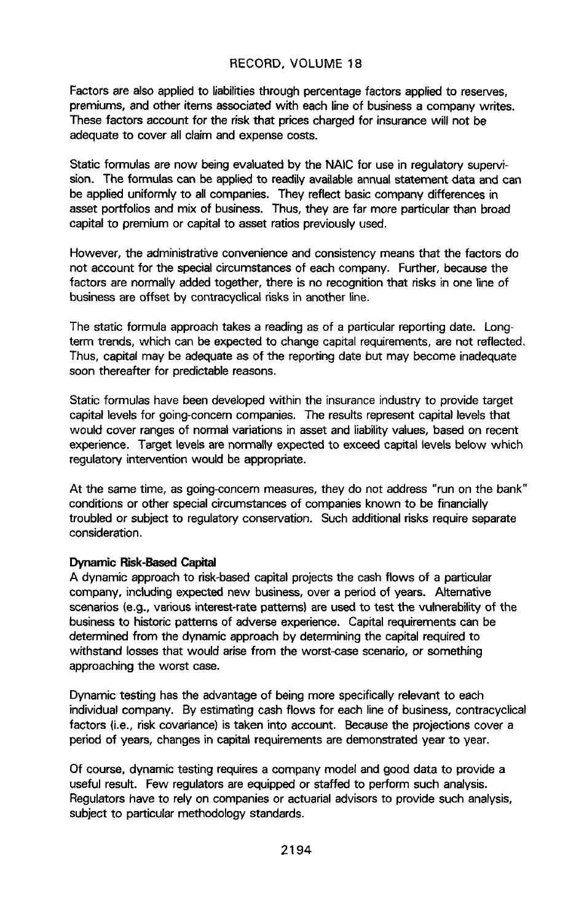F**a**ctors **a**re **also a**pp**li**ed t**o liab**ilit**ie**st**h**r**oug**h p**e**rc**en**t**ag**e fac**to**r**s app**l**i**ed t**o** reserves, premiums, and other items associated with each line of bus**i**ness a company writes. These factors account for the risk that prices charged for insurance will not be adequate to cover all claim and expense costs.

Static formulas are now being eva**l**uated by the NAIC for use in regulatory supervisi**on.** Th**e** f**or**m**u**l**a**s can be a**ppli**e**d**t**o re**adil**y avai**l**abl**ea**n**n**u**al st**ate**m**e**nt **d**at**a a**n**d** can be applied uniformly to all compa**n**ies. They reflect bas**i**c company differences in asset portfolios and mix of business. Thus, they are far more particular than broad capital to premium or capital to asset ratios previously used.

However, the administrative convenience and consistency means that the factors do not account for the special circumstances of each company. Further, because the factors are normally added together, there is no recognition that risks in one line of business are offset by cont**r**acycl**i**cal risks in another line.

The static formula approach takes a r**e**ading as of a particular reporting date. Longter**m t**r**en**ds, which can be expected to change capital requirements, are not reflected. Thus, capital may be adequate as of the reporting date but may become inadequate soon thereafter for predictable reasons.

Static formulas have been developed within the insurance industry to provide target capital levels for going-concern companies. The results represent capita**l** levels that would cover ranges of norma**l** variat**i**ons **i**n asset and l**i**abil**i**ty va**l**ues, based on recent experience. Target levels are nor**m**ally expected to exceed capital levels below which regulatory interv**e**nt**i**on would be app**r**opriate.

At the same time, as going**-**concern measures, they do not address "run on the bank" conditions or other special circumstance**s** of companies known to be financially troubled or subject to regulatory conservation. Such addition**a**l risks require separate consideration.

### **Dynamic Risk-Based Capital**

**A dynamic approachto risk**-**basedcap**it**al projectsthe cashflows o**f **a pa**rti**cu**l**a**r **company, includingexpect**ed **n**e**w busine**ss,**overa periodof** ye**ars. A**lt**e**met**ive**  $\epsilon$ **scenarios** (e.g., various interest-rate patterns) are used to test the vulnerability of the **busin**e**ssto hi**st**ori**c **patternsof adverseex**pe**ri**e**nc**e. **Cap**it**alrequire**m**entscan be** d**ete**rm**in**e**d fro**m **the dynamic approachby d**e**terminingthe cap**it**al requir**ed**to withstand** losses that would arise from the worst-case scenario, or something **approaching the worst case.**

**Dynamic testing has the advantage of b**e**ing** m**or**e **speci**f**icallyrelevantto each individualcompany. B**y **esti**m**atin**g **cash flows** f**or each lineof busin**e**ss,contracyclical** f**actors (i**.e**., risk c**o**variance)is taken into a**c**count**. **Becaus**e**the projectionscover a** period of y**e**ars, c**h**a**n**ges i**n** capita**l** r**e**quirements are demonstrated year to year.

Of course, dynamic test**i**ng requires a company mode**l** and g**o**od data to provide a useful result. Few regulators are equipped or sta**ff**ed to perform such ana**l**ysis. Regulators have to rely on companies or actuarial advisors to provide such analysis, subject to particular methodology standards.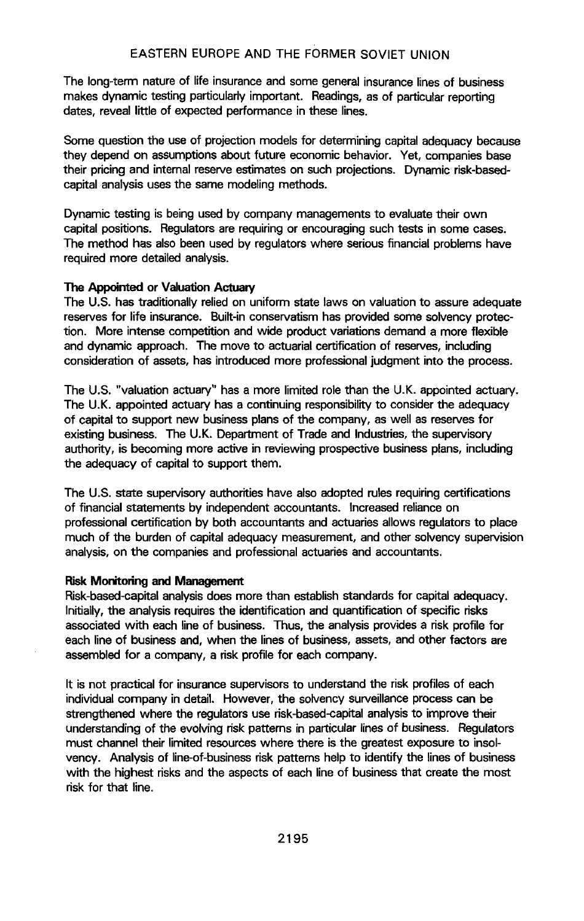The long-term nature of life insurance and some general insurance lines of business makes dynamic testing particularly important. Readings, as of particular reporting dates, reveal little of expected performance in these lines.

Some question the use of projection models for determining capital adequacy because they depend on assumptions about future economic behavior. Yet, companies base their pricing and internal reserve estimates on such projections. Dynamic risk-basedcapital analysis uses the same modeling methods.

Dynamic testing is being used by company managements to evaluate their own capital positions. Regulators are requiring or encouraging such tests in some cases. The method has also been used by regulators where serious financial problems have required more detailed analysis.

### The Appointed or Valuation Actuary

The U.S. has traditionally relied on uniform state laws on valuation to assure adequate reserves for life insurance. Built-in conservatism has provided some solvency protection. More intense competition and wide product variations demand a more flexible and dynamic approach. The move to actuarial certification of reserves, including consideration of assets, has introduced more professional judgment into the process.

The U.S. "valuation actuary" has a more limited role than the U.K. appointed actuary. The U.K. appointed actuary has a continuing responsibility to consider the adequacy of capital to support new business plans of the company, as well as reserves for existing business. The U.K. Department of Trade and Industries, the supervisory authority, is becoming more active in reviewing prospective business plans, including the adequacy of capital to support them.

The U.S. state supervisory authorities have also adopted rules requiring certifications of financial statements by independent accountants. Increased reliance on professional certification by both accountants and actuaries allows regulators to place much of the burden of capital adequacy measurement, and other solvency supervision analysis, on the companies and professional actuaries and accountants.

#### **Risk Monitoring and Management**

Risk-based-capital analysis does more than establish standards for capital adequacy. Initially, the analysis requires the identification and quantification of specific risks associated with each line of business. Thus, the analysis provides a risk profile for each line of business and, when the lines of business, assets, and other factors are assembled for a company, a risk profile for each company.

It is not practical for insurance supervisors to understand the risk profiles of each individual company in detail. However, the solvency surveillance process can be strengthened where the requlators use risk-based-capital analysis to improve their understanding of the evolving risk patterns in particular lines of business. Regulators must channel their limited resources where there is the greatest exposure to insolvency. Analysis of line-of-business risk patterns help to identify the lines of business with the highest risks and the aspects of each line of business that create the most risk for that line.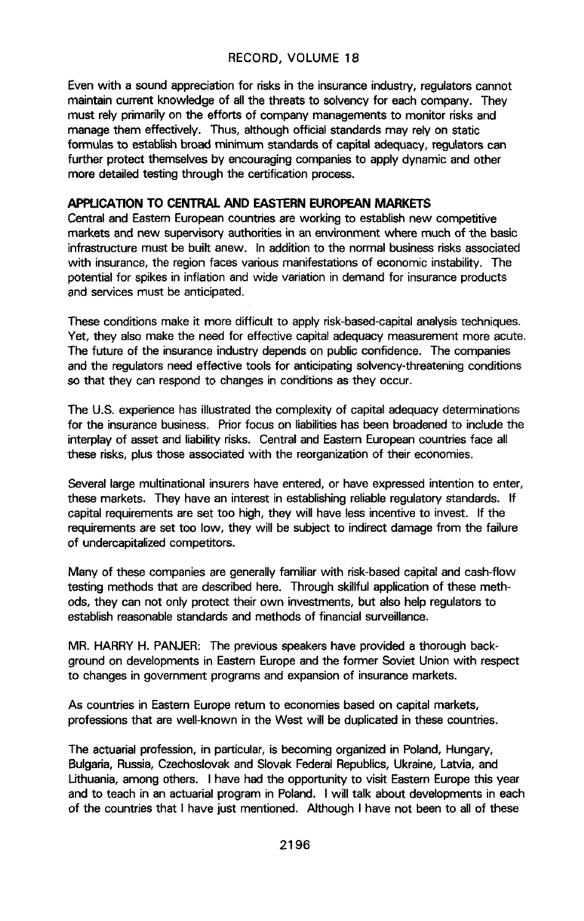Even with a sound appre**c**iation for risks in the insurance industry, regulators cannot maintain current knowledge of all the threats to solvency for each company. They must rely primarily on the efforts of company managements to monitor risks and manage them effectively. Thus, although official standards may rely on static f**o**r**mu**l**as to es**t**a**blish b**ro**ad **m**inim**u**m st**a**nda**rds of** c**ap**it**al** adeq**ua**cy, **r**egul**ators** c**a**n further protect themselves by encouraging companies to apply dyn**a**mic and other more detailed testing through the certification process.

### AP**PL**ICATION TO C**E**NT**R**AL **A**N**D EAS**TE**RNEUR**OP**EA**N**MARKE**T**S**

C**e**ntral and Eastem European countries are working to establish new competitive markets and new superv**i**sory autho**r**ities **i**n an env**i**ronment where much of **t**he basic infrastructure must be built anew. In addition to the normal business risks associated with insurance, the region faces various manifestations of economic instability. The potential for spikes in inflation and wide variation in demand for insurance products and services must be anticipated.

These conditions make it more difficult to apply risk-based-capital analysis techniques. Yet, they also make the need for effective capita**l** adequacy measurement more acute. The future of the insurance industry depends on public confidence. The companies and the regulators need effective tools for anticipating solvency-threatening conditions so that they can respond t**o** changes in conditions as they occur.

The U.S. experience has illustrated the complexity of capital adequacy determinations for the insurance business. Prior focus on liabil**i**ties has been broadened to include the interplay of asset and liability risks. Central and Eastern European countries face all these risks, plus those associ**a**ted with the reorganization of their economies.

Several large multinational insurers have entered, or have expressed intention to enter, these markets. They have an interest in establishing reliable re**g**ulatory standards. If capital requirements are set too high, they will have less incentive to invest. If the requirements are set too low, they will be subject to indirect damage from the failure of undercapit**a**lized competitors.

Many of these companies are generally familiar with risk-based capital and cash-flow testing methods that are described here. Through skillful application of these methods, they can not only protect their own investments, but also help regulators to establish reasonable standards and methods of financi**a**l surveillance.

MR. HARRY H. PANJER: The previous speakers have provided a thorough background on developments in Eastern Europe and the former Soviet Union with respect to changes in government programs and expansion of insurance markets.

As countries in Eastern Europe return to economies based on cap**i**tal markets, professions that are well-known in the West will be dupl**i**cated in these countries.

The actuarial profess**i**on, in particular, is becoming organized in Poland, Hungary, Bulgaria, Russia, Czechoslovak and Slovak Federal Republics, Ukraine, Latvia, and Lithuania, among others. I have had the opportunity to visit Eastern Europe this year and to teach **i**n an actuar**i**al program in Poland. I w**i**ll talk about developm**e**nts **i**n each of the countries that I have just mentioned. Although I have not been to all of these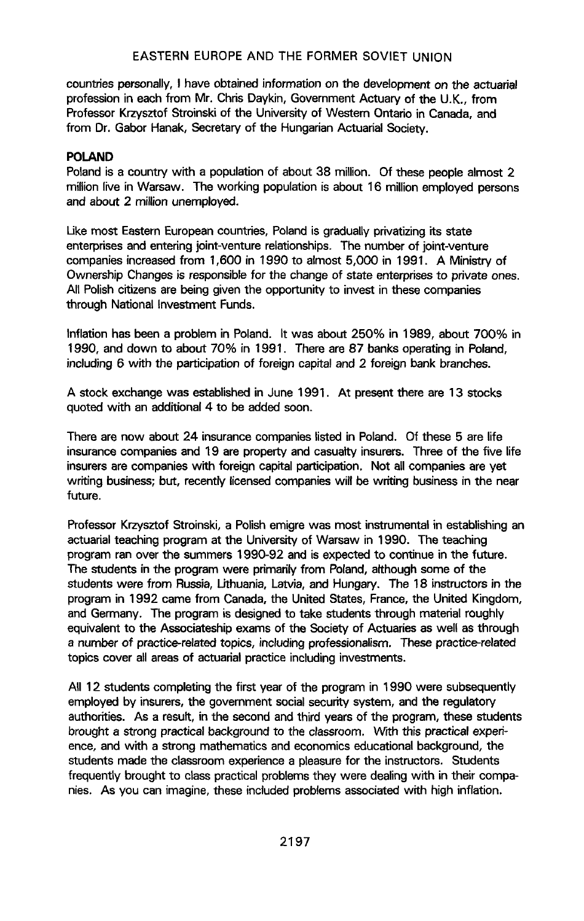countries personally, I have obtained information on the development on the actuarial profession in each from Mr. Chris Daykin, Government Actuary of the U.K., from Professor Krzysztof Stroinski of the University of Western Ontario in Canada, and from Dr. Gabor Hanak, Secretary of the Hungarian Actuarial Society.

# POLAN**D**

Poland is a country with a population of about 38 million. Of these people almost 2 million live in Warsaw. The working population is about 16 million employed persons and about 2 million unemployed.

L**i**ke most Eastern European countries, Poland is gradually privatizing its state enterprises and entering joint-venture relationships. The number of joint-venture companies increased from 1,600 in 1990 to almost 5,000 in 1991. A Ministry of Ownership Changes is responsible for the change of state enterprises to private ones. All Polish citizens are being given the opportunity to invest in these companies through National Investment Funds.

Inflation has been a problem in Poland. It was about 250% in 1989, about 700% in 1990, and down to about 70% in 1991. There are 87 banks operating in Poland, including 6 with the participation of foreign capital and 2 foreign bank branches.

A stock exchange was established in June 1991. At present there are 13 stocks quoted with an additional 4 to be added soon.

There are now about 24 insurance companies listed in Poland. Of these 5 are life insurance companies and 19 are prope**r**ty and casualty insurers. Three of the five life insurers are companies with foreign capital participation. Not all companies are yet **w**rit**i**ng bu**si**ness**;** but, rece**nt**ly **l**ic**e**nsed c**o**m**pa**n**ies** wil**l be** writi**ng** bu**si**n**e**ss **in t**h**e** n**e**ar fut**u**r**e**.

Prof**e**ssor Krzysztof Stroinski, a Polish emigre w**a**s most instrumenta**l i**n establishing an actuarial teaching program at the Univer**s**ity of War**s**aw in 1990. The teaching program ran over the summers 1990-92 and **i**s expected to continue in the future. The students in the program were primarily from **Po**land, although some of the students were from Russia, Lithuania, Latvia, and Hunga**r**y. The 18 instructors in the program in 1992 cam**e** from Canada, the United States, France, the United Kingdom, and Germany. The program is d**e**signed to take stude**n**ts through materi**a**l roughly equivale**n**t to th**e** A**s**sociateship exams of the S**o**ci**e**ty of Actuaries as well as through a number of practice-related topics, **i**ncludin**g** professionalism. These practice-related topics cover a**l**l areas of actua**r**ial practice including investments.

All 12 students completing the first year of the program in 1990 were subsequently employed by **i**nsurers, the government social secu**ri**ty system, and th**e** regulatory auth**o**rities. As a result, in the second and third years of the program, these students brought a strong pract**i**cal background to the classroom. V\_rrththis pract**i**cal exper**i**ence, and with a strong mathem**a**tics and economics educational background, the students made the classroom experienc**e** a p**l**ea**s**urefor the instructors. Students frequently brought to class practical problems they were dealing with in their companies. As you c**a**n imagine, th**e**se inclu**d**ed problems associated with high inflation.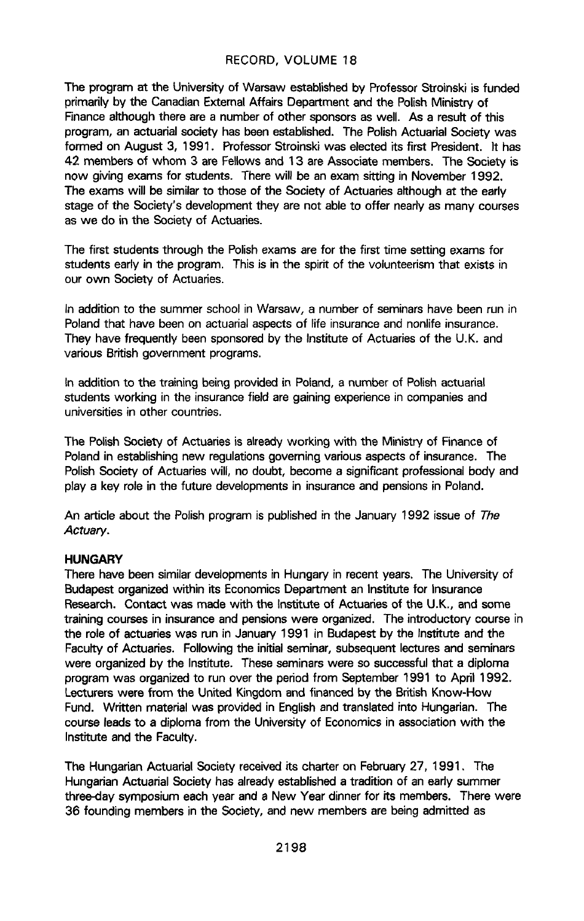T**h**e **p**r**ogram a**t **the Uni**v**er**s**ityof** W**arsa**w **esta**b**l**i**shed**by **Pro**fe**sso**r**St**ro**ins**k**iis fund**ed **pri**m**arilyb**y **the CanadianE**xt**ernal Affairs Depart**m**e**n**t a**n**d t**h**e Polis**h**Mi**n**is**t**ry of Financealthough th**e**r**e **a**re **a numb**e**r of other sponsorsas well**. A**s a resu**lt **of this progra**m, **an actuarialsociety hasbeen e**st**ablish**ed**. The PolishActuarial Soci**ety **was form**e**d on August 3**, 1**99**1. **ProfessorStroinskiwas el**e**ct**ed **itsfirst** Pr**esident. It has** 42 members of whom 3 are Fellows and 13 are Associate members. The Society is **now giving**e**xams for** st**udents**. **There wil**l **be an** e**xam sittingin Nov**e**mber 1992**. **Th**e **exams will be similarto those of the Socie**ty **of** A**ctua**ri**es although** at **the earl**y st**age of the** So**ciet**y'**s deve**l**opmentthey a**re n**ot able to off**e**r nearly as ma**n**y cours**e**s as we do** in **the Soc**i**e**ty **of** A**c**t**uar**i**es.**

**The fir**st st**udents throughth**e **Polish**e**xams a**re **for the fir**st **time setting exa**m**s for** st**udents ear**l**y in th**e **program. Th**i**s** i**s inthe spi**r**itof th**e **volunteerismthat** e**xi**sts **i**n **our own** So**ciety o**f A**ctuaries.**

In **addi**t**io**n**to the su**mm**er sch**o**olin Warsaw**, **a** n**u**m**ber o**f **semi**n**arshav**e **be**e**n run i**n **Polandt**hat **have b**een **on actuaria**l**aspectsof** l**i**fe **insuranc**e**and non**l**if**e**i**n**surance**. **Th**ey **hav**e **fr**e**qu**e**ntl**y **b**e**en spons**o**redby the In**st**i**t**ute o**f A**ctuar**i**esof the U.K**. **and various B**rit**ishg**o**vernm**e**nt progra**m**s.**

In addition to the training being provided in Poland, a number of Polish actuarial **students wo**rk**ing in th**e **insuranc**e**fie**l**d ar**e**gaining** e**xp**e**rienc**e**in compani**e**sa**n**d universitiesin other countri**e**s.**

The Polish Society of Actuaries is already working with the Ministry of Finance of **Poland** in establishing new regulations governing various aspects of insurance. The Polish Society of Actuaries will, no doubt, become a significant professional body and **p**l**a**y **a key ro**l**e in the** f**uture d**e**vel**o**pmentsin insuranceand pensionsi**n **Poland.**

**An a**rt**icl**e **abo**ut **the Po**l**ishprog**r**a**m **is publishedinthe January** 1**992 issueo**f The Actuary**.**

#### **HUN**G**ARY**

**There have** be**en simi**l**ardeve**l**opmentsin Hunga**ry **in re**c**e**n**t years. Th**e **Univ**e**rsity of Budap**est **organizedwithin** it**s Economics**D**epa**rtm**ent an In**stit**ute for Insuranc**e **Research.** C**ontact was** m**ade w**ith **the** Insti**t**ut**e of** A**ctuar**i**es of t**h**e U.K**.**, a**n**d so**m**e trainingcours**e**s in insuranc**e**and pensionswere organized**. **The introductor**y **cours**e**i**n **the rol**e **of actua**rie**s was run in Janua**ry **199**1 **in Budap**e**stby the** I**nstitu**t**e and the Facultyo**f **Actua**ri**es**. **Followingthe in**it**ial**sem**inar, subse**q**uentlecturesand seminars were organiz**ed **b**y **the Instit**ute. **Th**e**s**e **s**e**minarsw**e**r**e **so succ**e**ssfulthat a diploma progra**m **wa**s **organiz**ed**to run overthe pe**ri**od** f**rom Septe**m**ber** 1**991 to April 1992.** L**ect**u**rers were** f**ro**m th**e** Unit**ed** Kingd**o**m **a**n**d** fin**a**nc**ed** by th**e** B**r**iti**s**h Kno**w-**H**ow Fund. Writ**te**n** m**at**eri**al was provid**ed**in Englishand translat**ed **into Hungarian**. **The cours**e l**eadsto a diploma from the Universit**y**of Economicsin associationwith the In**st**it**ute **and th**e **Faculty**.

**The Hu**n**ga**ri**an Actua**ri**al Socie**ty **receivedi**t**s cha**rt**er o**n **F**e**bruary27**, 1**99**1**. T**he **Hunga**ri**an Actuarial**So**ciety has alreadye**st**ablisheda trad**it**iono**f **a**n **eady summ**e**r three**-**day sy**m**posiu**m **each year and a N**e**w** Y**ear dinner**f**or** it**s me**m**b**e**rs**. **There were 36 foundingmembers inthe Soci**ety**, and new members a**re **being ad**m**itted as**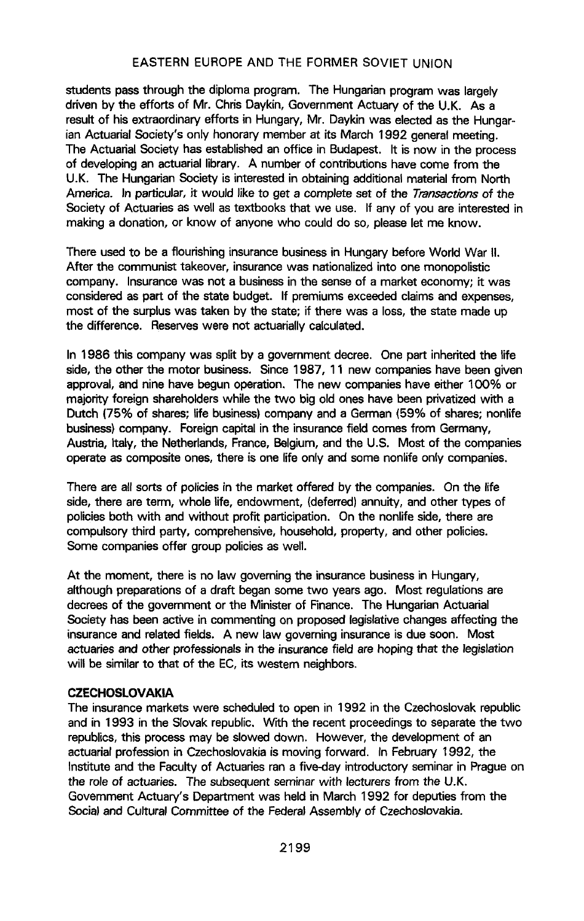students pa**s**s through the diploma program. The Hungarian program was largely driven by t**h**e efforts of Mr. Chris Daykin, Government Actuary of the U.K. As a result of his extraordinary efforts in Hungary, Mr. Daykin was elected as the Hungarian Actuarial Society's only honorary member at its March 1992 general meeting. The Actuarial Society has established an office in Budapest. It is now in the process of developing an actuarial library. A number of contributions have come from the U.K. The Hungarian Society is interested in obtaining additional material from North America. In particular, **i**t would like to get a complete set of the Transactions of the Society of Actuaries as well as textbooks that we use. If any of you are interested in making a donation, or know of anyone who could do so, please let me know.

There used to be a flourishing insurance business in Hungary before World War II. After the communist takeover, insurance was nationalized into one monopolistic company. Insurance was not a business in the sense of a market economy; it was considered as part of the state budget. If premiums exceeded claims and expenses, most of the surplus was taken by the state; if there was a loss, the state m**a**de up th**e d**i**ff**ere**nce**. **Re**se**rv**e**swe**re **no**t **a**c**t**u**aria**Uy**ca**l**c**ulated.

**In** 1**986 this company was split by a governmentd**ec**r**e**e.** O**ne pa**rt **inheritedthe** l**ife side, th**e **oth**e**r the motor busin**e**ss**. **Since 1987, 11 new** c**ompanies hav**e **been given approval,and nine have begunop**e**r**at**ion**. **The new companieshave either** 1**00% o**r m**ajority for**e**ign shareholderswhile the two big old ones have been privatiz**ed**with a D**ut**ch (75% of shares;life business)companyand a German (59% of shares; nonl**i**f**e **busine**ss**)company. Foreigncapitalin the insurancefield comes fro**m Ge**rman**y**, Aust**ri**a, Italy,** th**e Netherlands**,**Franc**e**,B**e**lgiu**m**,and the U.S**. **Mo**st **of the compani**e**s operate** as composite ones, there is one life only and some nonlife only companies.

The**re a**re **al**l **s**o**rt**s **o**f **po**li**c**ie**sin t**he m**arket offe**r**ed** by **th**e **c**om**pa**n**i**e**s**. On the lif**e side,there a**re **term, whole** l**ife, endowment, (deferr**ed**)annuity, and other types of policiesboth w**it**h and without prof**it **pa**rt**ic**i**p**at**ion. On th**e **nonlifeside,there a**re **co**m**pulso**ry **third part**y**, co**m**prehens**i**ve,**h**ousehold,propert**y**, and other polici**e**s.** Some companies offer group policies as well.

A**t the** m**oment, th**e**r**e **is** n**o law gover**n**ing**the **insurancebusinessin Hunga**ry**, a**lt**hough preparationsof a dra**ft **begansome** tw**o** y**ears ago. Most r**e**gulationsare decrees of the government or the Minister of Finance.** The Hungarian Actuarial So**c**iety **has been active** i**n co**mm**enting on pro**po**sed**l**egislativechangesaffecting** t**he insuranceand relatedfields. A n**e**w law gov**e**rninginsuranc**e**is due soon. Mos**t **actuari**e**sand oth**e**r prof**e**s**s**ionalsinthe in**s**uranc**ef**ie**l**d a**re h**oping**that **the** leg**islation wil**l **be similarto that of the EC, its w**est**e**rn **neighbors**.

### **CZECHOS**L**OVAKIA**

**Th**e **insurancemark**e**ts were sch**ed**ul**ed**to open in 1992** in **the** C**z**e**chos**l**ovakrepublic and** i**n** 1**993 in t**h**e S**I**ovak republic**, k\_r\_**hth**e **rece**n**t proce**e**dingsto separ**at**e the** tw**o republics,this proc**e**ss** m**ay be slow**ed **down. However, the d**e**velop**m**e**n**t of an a**ctu**a**r**ia**l **p**rofess**io**n i**n** C**z**ech**os**l**ova**ki**a** i**s** m**oving** f**o**rw**a**rd**.** In **Fe**bru**a**ry 1**9**9**2**, the **I**nstitute and the Faculty of Actuaries ran a five-day introductory seminar in Prague on the role of act**u**a**ri**es. The subsequent seminar with lecturers from the U.K. Government Actuary's Department was held in March 1992 for deputies from the Soc**ial and** C**u**ltural **Co**mm**ittee o**f **t**he **F**e**d**er**a**l A**s**se**m**bly of Czech**osl**o**va**k**ia**.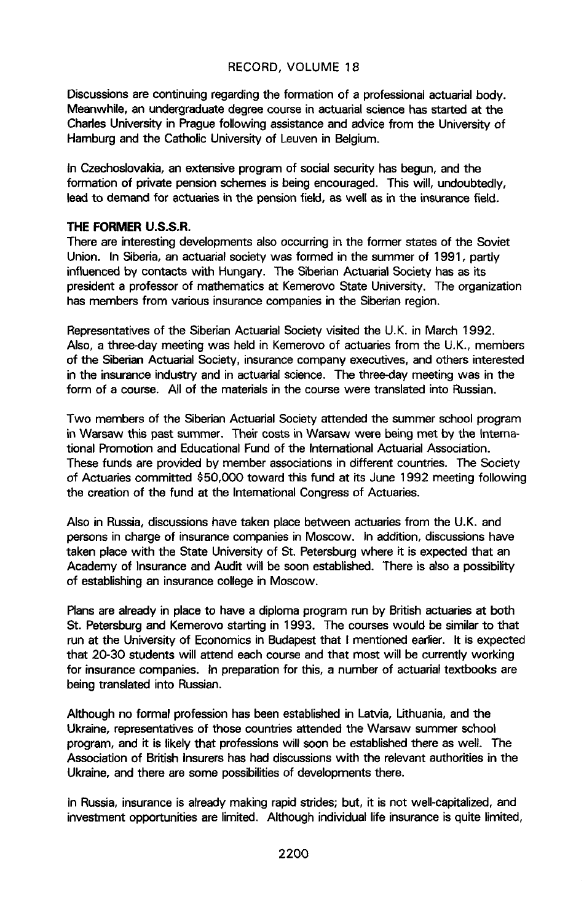Discus**s**ions are continuing regarding the formation of a professional actuarial body. Meanwhile, an undergraduate degree course in actuarial science h**a**s started at the Ch**a**rles University in Prague following assistance and advice from the University of Hamburg and the Catholic University of Leuven in Belgium.

In Czechoslovakia, an extensive program of social security has begun, and the formation of private pension schemes is being encouraged. This will, undoubtedly, lead to demand for actuaries in the pension field, as well as in the insurance field.

#### **THE FORMER U.S.S**.**R.**

**There a**re **interestingdevelopm**e**ntsalsooccurringin the form**e**r** st**at**e**s o**f **th**e **Soviet Union**. **In Siberia,an actuarialsociety was** f**or**med **in the summer of 1991**, **partl**y **influenced** by contacts with Hungary. The Siberian Actuarial Society has as its **president a professor of mathematics at Kemerovo State University. The organization has** m**e**mbe**rs fro**m **va**ri**ous insurancecompaniesin th**e **Si**be**rianr**e**gion.**

**Repr**e**sentativesof the SiberianActuarialSociety visitedthe U.**K**. i**n **March** 1**992. Also, a three-day** m**eeting was h**e**ld in K**eme**rovoof actuaries**f**rom the U**.**K.**, **members of** th**e Sibe**ri**an Actua**ri**al Socie**ty, **insurancecompany** e**xecutives,and o**th**ers inter**est**ed inthe insuran**c**eindust**ry **and in actuarialscience. The thr**e**e-da**y mee**ting w**as **in the form of a course. All of the** m**aterials inthe cours**e**were translat**ed **into Russian.**

**Two members** of the Siberian Actuarial Society attended the summer school program in W**a**r**saw t**hi**s pa**st **s**umm**er.** Th**e**ir c**o**sts in Wa**r**s**aw w**e**re** being me**t** by **t**h**e** Inte**r**national Promotion and Educational Fund of the International Actuarial Association. These funds are provided by member associations in different countries. The Society of Actuaries committed \$50,000 toward this fund at its June 1992 meeting following the creation of the fund at the Internat**i**onal Congress of Actuaries.

Also in Russia, discussions have taken place between actuaries from the U.K. and persons in charge of insurance companies in Moscow. In addition, discussions have taken place with the State University of St. Petersburg where it is expected that an Academy of Insurance and Audit will be soon established. There is also a possibility of establishing an insurance college in Moscow.

Plans are already in place to have a diploma program run by British actuaries at both St. P**e**tersburg and Kemerovo starting in 1993. The courses would be simil**a**r to that run at the University of Economics in Budapest that I mentioned earlier. It is expected that 20-30 students will at**t**end each course and that most will be currently working for insurance companies. In preparation for this, a number of actuar**i**al textbooks are being translated into Russian.

Although no formal profession has been established in Latvia, Lithuania, and the Ukraine, representatives of those countries attended the Warsaw summer schoo**l** program, and it i**s** likely that professions will soon be established there as well. The Association of Brit**i**sh Insurers has had d**i**scussions with the relevant authorities in the Ukraine, and there are some possibilities of developments there.

In Russia, insurance is alr**e**ady making rapid strides; but, it is not well-capitalized, and investment opportunities are limited**.** Although individual life insurance is quite limited,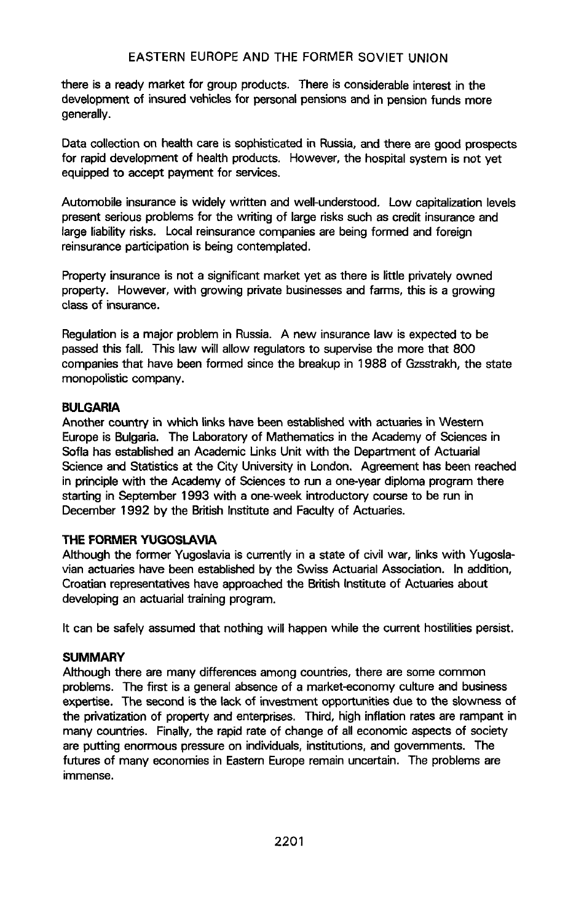there is a ready market for group products. There is considerable interest in the development of insured vehicles for personal pensions and in pension funds more generally.

Data co**l**lection on **h**ealt**h** care is sophisticated in Russia, and there are good prospects for rapid development of health products. However, the hospital system is not yet equipped to accept payment for se**r**vices.

Automobile insurance is widely written and well-understood. Low capitaliz**a**tion levels present serious problems for the writing of large risks such as credit insurance and large liability risks. Local reinsurance companies are being formed and foreign reinsurance participation is being contemplated.

Property insurance is not a significant market yet as there is little p**r**ivately owned property. However, with growing private businesses and farms, this is a growing c**l**ass of insurance.

Regulation is a major problem in Russia. A new insurance law is expected to be passed this fall. This law will allow regulators to supervise the more that 800 companies that have been formed since the breakup in 1988 of Gzsstrakh, the state monopolistic company.

#### **BULGARIA**

Another c**oun**tr**y** in w**h**ich links **h**av**e** been **e**stablished wit**h** actuaries in W**e**st**e**rn Europe is Bulgaria. The Laboratory of Mathematics in the Academy of Sciences in Sofia has established an Academic Links Unit with the Department of Actuarial Science and Statistics at the Cit**y** Universit**y** in London, Agreement has been reached in principle with the Academy of Sciences to run a one-year diploma program there starting in September 1993 with a one-week introductory course to be run in December 1992 by the British Institute and Faculty of Actuaries.

### **THE FORMER YUGOSLAVIA**

**A**lt**hough the former Yugoslaviais c**u**rrentl**y **in a** st**ate of civil war, linksw**it**h Yugoslavian actua**rie**s have b**e**en e**st**ablish**ed**b**y **the Swiss ActuarialA**ss**ociation. In addition**, **Croatian re**p**rese**n**t**a**tives**h**ave** a**pproa**ch**edt**h**e Br**i**tis**h**I**nst**it**ute **o**f Actu**a**ri**es a**b**o**ut developing an actuarial training program.

**It can be saf**e**l**y **a**ss**um**ed **th**at **nothingwill happ**e**n whil**e **the current hostil**it**i**e**spersi**st.

#### **SUMMARY**

**Althoughther**e **a**re **many differencesamong countries,there are som**e **common probl**e**ms. The first is a generalabsenceof a** m**arket-econo**my **cultur**e **and busine**ss expertise. The second is the lack of investment opportunities due to the slowness of the privatization of property and enterprises. Third, high inflation rates are rampant in many countries. Finally, the rapid rat**e** of change of all economic aspects of society are putting enormous pressure on individuals, institutions, and governments. The futures of many economies in Eastern Europe remain uncertain. The problems are i**m**mense.